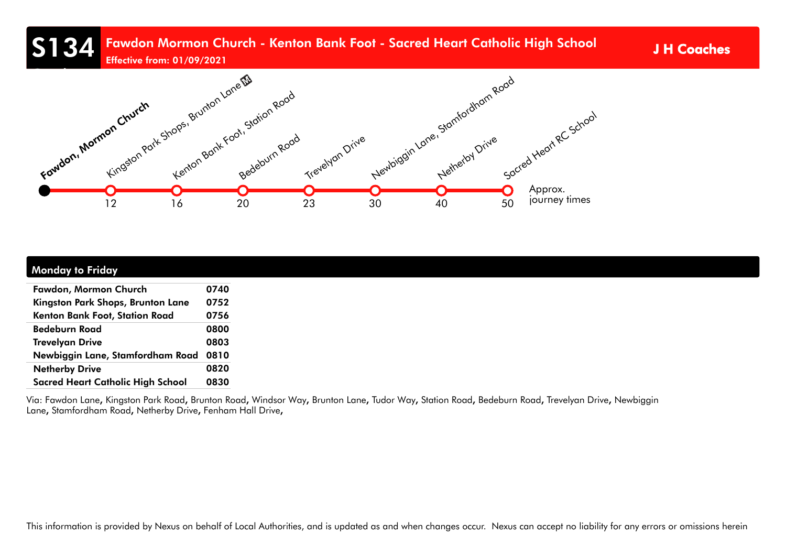# S134 Fawdon Mormon Church - Kenton Bank Foot - Sacred Heart Catholic High School JH Coaches

Effective from: 01/09/2021



| <b>Monday to Friday</b>                  |      |
|------------------------------------------|------|
| Fawdon, Mormon Church                    | 0740 |
| Kingston Park Shops, Brunton Lane        | 0752 |
| Kenton Bank Foot, Station Road           | 0756 |
| <b>Bedeburn Road</b>                     | 0800 |
| <b>Trevelyan Drive</b>                   | 0803 |
| Newbiggin Lane, Stamfordham Road 0810    |      |
| <b>Netherby Drive</b>                    | 0820 |
| <b>Sacred Heart Catholic High School</b> | 0830 |

Via: Fawdon Lane, Kingston Park Road, Brunton Road, Windsor Way, Brunton Lane, Tudor Way, Station Road, Bedeburn Road, Trevelyan Drive, Newbiggin Lane, Stamfordham Road, Netherby Drive, Fenham Hall Drive,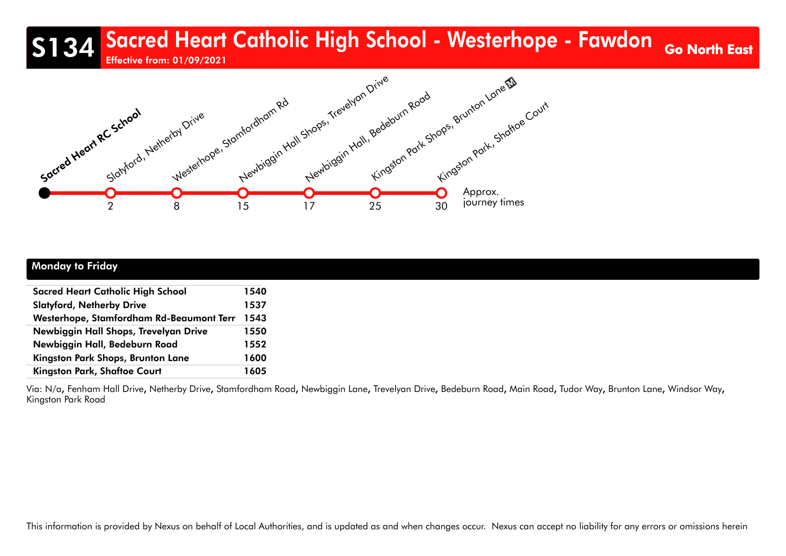## S134 Sacred Heart Catholic High School - Westerhope - Fawdon Go North East Effective from: 01/09/2021



| <b>Monday to Friday</b> |
|-------------------------|
|-------------------------|

| <b>Sacred Heart Catholic High School</b> | 1540 |  |
|------------------------------------------|------|--|
| <b>Slatyford, Netherby Drive</b>         |      |  |
| Westerhope, Stamfordham Rd-Beaumont Terr | 1543 |  |
| Newbiggin Hall Shops, Trevelyan Drive    | 1550 |  |
| Newbiggin Hall, Bedeburn Road            | 1552 |  |
| Kingston Park Shops, Brunton Lane        | 1600 |  |
| <b>Kingston Park, Shaftoe Court</b>      | 1605 |  |

Via: N/a, Fenham Hall Drive, Netherby Drive, Stamfordham Road, Newbiggin Lane, Trevelyan Drive, Bedeburn Road, Main Road, Tudor Way, Brunton Lane, Windsor Way, Kingston Park Road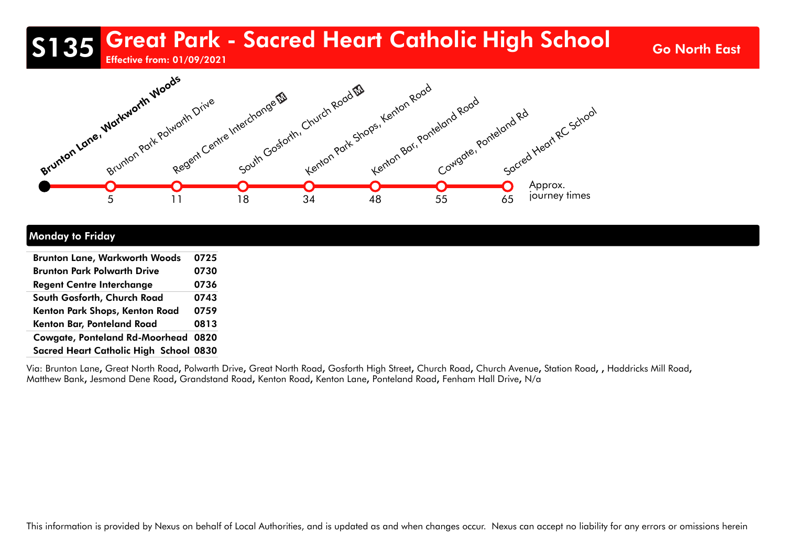# S135 Great Park - Sacred Heart Catholic High School Go North East

Effective from: 01/09/2021



#### Monday to Friday

| <b>Brunton Lane, Warkworth Woods</b>   | 0725 |
|----------------------------------------|------|
| <b>Brunton Park Polwarth Drive</b>     | 0730 |
| <b>Regent Centre Interchange</b>       | 0736 |
| South Gosforth, Church Road            | 0743 |
| Kenton Park Shops, Kenton Road         | 0759 |
| Kenton Bar, Ponteland Road             | 0813 |
| Cowgate, Ponteland Rd-Moorhead 0820    |      |
| Sacred Heart Catholic High School 0830 |      |

Via: Brunton Lane, Great North Road, Polwarth Drive, Great North Road, Gosforth High Street, Church Road, Church Avenue, Station Road,, Haddricks Mill Road, Matthew Bank, Jesmond Dene Road, Grandstand Road, Kenton Road, Kenton Lane, Ponteland Road, Fenham Hall Drive, N/a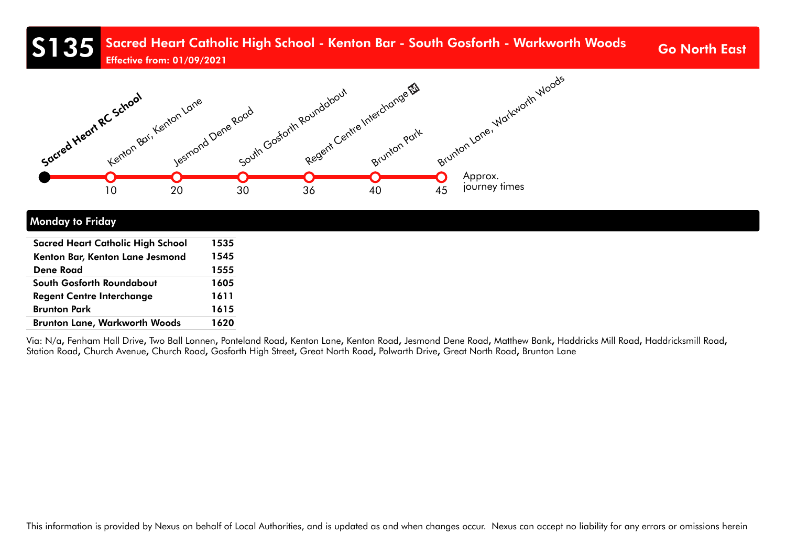#### S135 Sacred Heart Catholic High School - Kenton Bar - South Gosforth - Warkworth Woods Go North East Effective from: 01/09/2021



#### Monday to Friday

| <b>Sacred Heart Catholic High School</b> | 1535 |
|------------------------------------------|------|
| Kenton Bar, Kenton Lane Jesmond          | 1545 |
| <b>Dene Road</b>                         | 1555 |
| South Gosforth Roundabout                | 1605 |
| <b>Regent Centre Interchange</b>         | 1611 |
| <b>Brunton Park</b>                      | 1615 |
| <b>Brunton Lane, Warkworth Woods</b>     | 1620 |

Via: N/a, Fenham Hall Drive, Two Ball Lonnen, Ponteland Road, Kenton Lane, Kenton Road, Jesmond Dene Road, Matthew Bank, Haddricks Mill Road, Haddricksmill Road, Station Road, Church Avenue, Church Road, Gosforth High Street, Great North Road, Polwarth Drive, Great North Road, Brunton Lane